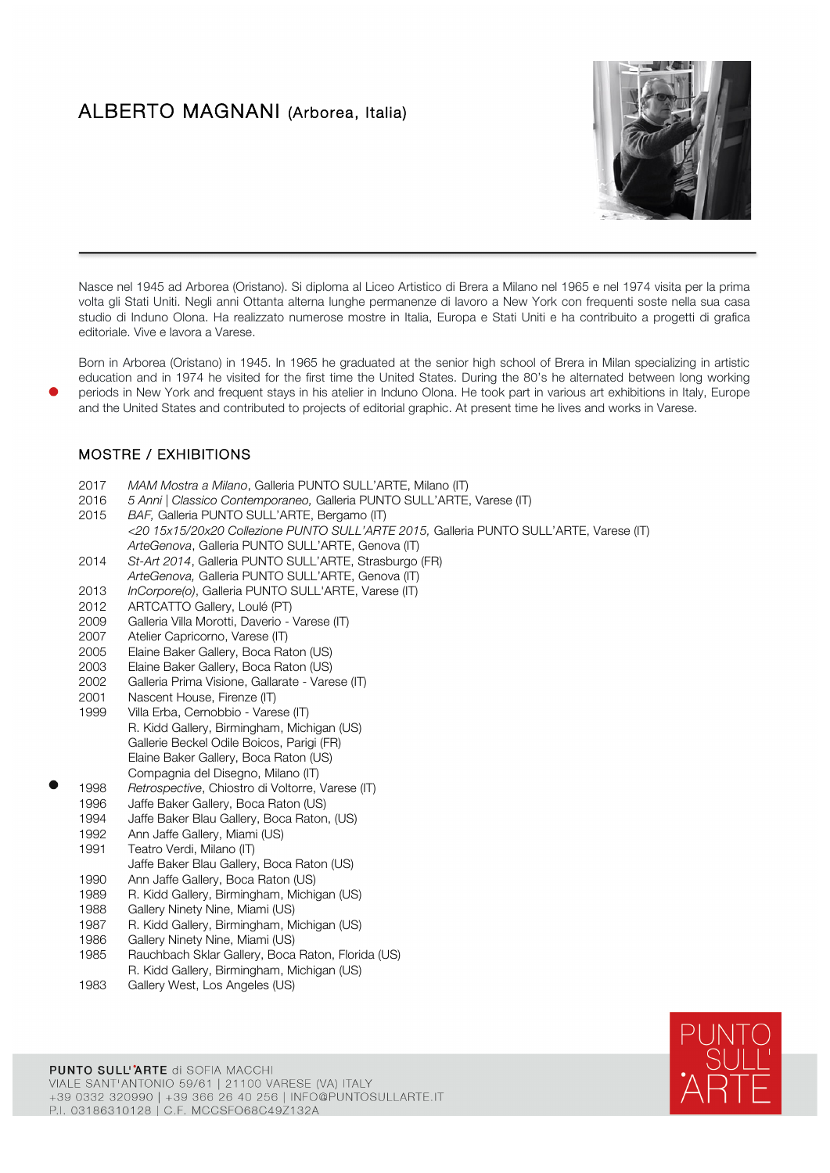## ALBERTO MAGNANI (Arborea, Italia)



Nasce nel 1945 ad Arborea (Oristano). Si diploma al Liceo Artistico di Brera a Milano nel 1965 e nel 1974 visita per la prima volta gli Stati Uniti. Negli anni Ottanta alterna lunghe permanenze di lavoro a New York con frequenti soste nella sua casa studio di Induno Olona. Ha realizzato numerose mostre in Italia, Europa e Stati Uniti e ha contribuito a progetti di grafica editoriale. Vive e lavora a Varese.

Born in Arborea (Oristano) in 1945. In 1965 he graduated at the senior high school of Brera in Milan specializing in artistic education and in 1974 he visited for the first time the United States. During the 80's he alternated between long working periods in New York and frequent stays in his atelier in Induno Olona. He took part in various art exhibitions in Italy, Europe and the United States and contributed to projects of editorial graphic. At present time he lives and works in Varese.

## MOSTRE / EXHIBITIONS

- 2017 *MAM Mostra a Milano*, Galleria PUNTO SULL'ARTE, Milano (IT)
- 2016 *5 Anni | Classico Contemporaneo,* Galleria PUNTO SULL'ARTE, Varese (IT)
- 2015 *BAF,* Galleria PUNTO SULL'ARTE, Bergamo (IT) *<20 15x15/20x20 Collezione PUNTO SULL'ARTE 2015,* Galleria PUNTO SULL'ARTE, Varese (IT) *ArteGenova*, Galleria PUNTO SULL'ARTE, Genova (IT)
- 2014 *St-Art 2014*, Galleria PUNTO SULL'ARTE, Strasburgo (FR)
- *ArteGenova,* Galleria PUNTO SULL'ARTE, Genova (IT)
- 2013 *InCorpore(o)*, Galleria PUNTO SULL'ARTE, Varese (IT)
- 2012 ARTCATTO Gallery, Loulé (PT)
- 2009 Galleria Villa Morotti, Daverio Varese (IT)
- 2007 Atelier Capricorno, Varese (IT)
- 2005 Elaine Baker Gallery, Boca Raton (US)
- 2003 Elaine Baker Gallery, Boca Raton (US)<br>2002 Galleria Prima Visione, Gallarate Vare
- Galleria Prima Visione, Gallarate Varese (IT)
- 2001 Nascent House, Firenze (IT)<br>1999 Villa Erba, Cernobbio Vare
- Villa Erba, Cernobbio Varese (IT) R. Kidd Gallery, Birmingham, Michigan (US) Gallerie Beckel Odile Boicos, Parigi (FR) Elaine Baker Gallery, Boca Raton (US) Compagnia del Disegno, Milano (IT)
- 1998 *Retrospective*, Chiostro di Voltorre, Varese (IT)
- Jaffe Baker Gallery, Boca Raton (US)
- 1994 Jaffe Baker Blau Gallery, Boca Raton, (US)
- 1992 Ann Jaffe Gallery, Miami (US)
- 1991 Teatro Verdi, Milano (IT) Jaffe Baker Blau Gallery, Boca Raton (US)
- 1990 Ann Jaffe Gallery, Boca Raton (US)
- 1989 R. Kidd Gallery, Birmingham, Michigan (US) 1988 Gallery Ninety Nine, Miami (US)
- 
- 1987 R. Kidd Gallery, Birmingham, Michigan (US)
- 1986 Gallery Ninety Nine, Miami (US)<br>1985 Bauchbach Sklar Gallery, Boca
- Rauchbach Sklar Gallery, Boca Raton, Florida (US) R. Kidd Gallery, Birmingham, Michigan (US)
- 1983 Gallery West, Los Angeles (US)